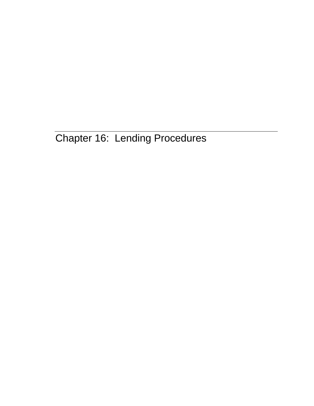Chapter 16: Lending Procedures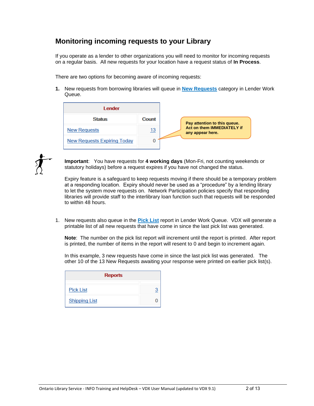## **Monitoring incoming requests to your Library**

If you operate as a lender to other organizations you will need to monitor for incoming requests on a regular basis. All new requests for your location have a request status of **In Process**.

There are two options for becoming aware of incoming requests:

**1.** New requests from borrowing libraries will queue in **New Requests** category in Lender Work Queue.

| Lender                             |            |
|------------------------------------|------------|
| <b>Status</b>                      | Count      |
| <b>New Requests</b>                | <u> 13</u> |
| <b>New Requests Expiring Today</b> | U          |



**Important**: You have requests for **4 working days** (Mon-Fri, not counting weekends or statutory holidays) before a request expires if you have not changed the status.

Expiry feature is a safeguard to keep requests moving if there should be a temporary problem at a responding location. Expiry should never be used as a "procedure" by a lending library to let the system move requests on. Network Participation policies specify that responding libraries will provide staff to the interlibrary loan function such that requests will be responded to within 48 hours.

1. New requests also queue in the **Pick List** report in Lender Work Queue. VDX will generate a printable list of all new requests that have come in since the last pick list was generated.

**Note**: The number on the pick list report will increment until the report is printed. After report is printed, the number of items in the report will resent to 0 and begin to increment again.

In this example, 3 new requests have come in since the last pick list was generated. The other 10 of the 13 New Requests awaiting your response were printed on earlier pick list(s).

| <b>Reports</b>       |                |
|----------------------|----------------|
| <b>Pick List</b>     | $\overline{3}$ |
| <b>Shipping List</b> |                |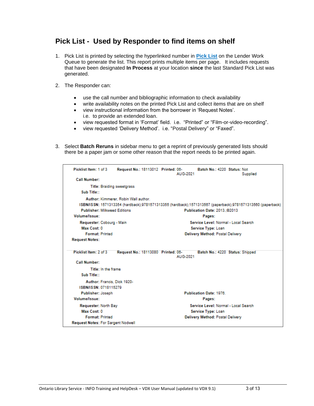## **Pick List - Used by Responder to find items on shelf**

- 1. Pick List is printed by selecting the hyperlinked number in **Pick List** on the Lender Work Queue to generate the list. This report prints multiple items per page. It includes requests that have been designated **In Process** at your location **since** the last Standard Pick List was generated.
- 2. The Responder can:
	- use the call number and bibliographic information to check availability
	- write availability notes on the printed Pick List and collect items that are on shelf
	- view instructional information from the borrower in 'Request Notes'. i.e. to provide an extended loan.
	- view requested format in 'Format' field. i.e. "Printed" or "Film-or-video-recording".
	- view requested 'Delivery Method'. i.e. "Postal Delivery" or "Faxed".
- 3. Select **Batch Reruns** in sidebar menu to get a reprint of previously generated lists should there be a paper jam or some other reason that the report needs to be printed again.

| Picklist Item: 1 of 3                     | Request No.: 18113012 Printed: 06-   | AUG-2021                             | Batch No.: 4220 Status: Not          | Supplied                                                                                                   |
|-------------------------------------------|--------------------------------------|--------------------------------------|--------------------------------------|------------------------------------------------------------------------------------------------------------|
| Call Number:                              |                                      |                                      |                                      |                                                                                                            |
| <b>Title: Braiding sweetgrass</b>         |                                      |                                      |                                      |                                                                                                            |
| Sub Title::                               |                                      |                                      |                                      |                                                                                                            |
|                                           | Author: Kimmerer, Robin Wall author. |                                      |                                      |                                                                                                            |
|                                           |                                      |                                      |                                      | ISBN/ISSN: 1571313354 (hardback);9781571313355 (hardback);1571313567 (paperback);9781571313560 (paperback) |
| <b>Publisher: Milkweed Editions</b>       |                                      |                                      | Publication Date: 2013.:02013        |                                                                                                            |
| Volume/Issue:                             |                                      |                                      | Pages:                               |                                                                                                            |
| Requester: Cobourg - Main                 |                                      |                                      | Service Level: Normal - Local Search |                                                                                                            |
| Max Cost: 0                               | Service Type: Loan                   |                                      |                                      |                                                                                                            |
| <b>Format: Printed</b>                    |                                      |                                      | Delivery Method: Postal Delivery     |                                                                                                            |
| <b>Request Notes:</b>                     |                                      |                                      |                                      |                                                                                                            |
|                                           |                                      |                                      |                                      |                                                                                                            |
| Picklist Item: 2 of 3                     | Request No.: 18113080 Printed: 06-   | AUG-2021                             | Batch No.: 4220 Status: Shipped      |                                                                                                            |
| <b>Call Number:</b>                       |                                      |                                      |                                      |                                                                                                            |
| Title: In the frame                       |                                      |                                      |                                      |                                                                                                            |
| Sub Title::                               |                                      |                                      |                                      |                                                                                                            |
| Author: Francis, Dick 1920-               |                                      |                                      |                                      |                                                                                                            |
| ISBN/ISSN: 0718115279                     |                                      |                                      |                                      |                                                                                                            |
| Publisher: Joseph                         |                                      |                                      | <b>Publication Date: 1976.</b>       |                                                                                                            |
| Volume/Issue:                             |                                      |                                      | Pages:                               |                                                                                                            |
| Requester: North Bay                      |                                      | Service Level: Normal - Local Search |                                      |                                                                                                            |
| Max Cost: 0                               |                                      | Service Type: Loan                   |                                      |                                                                                                            |
| <b>Format: Printed</b>                    |                                      |                                      | Delivery Method: Postal Delivery     |                                                                                                            |
| <b>Request Notes: For Sargent Nodwell</b> |                                      |                                      |                                      |                                                                                                            |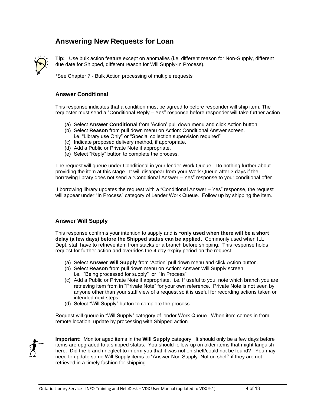## **Answering New Requests for Loan**



**Tip:** Use bulk action feature except on anomalies (i.e. different reason for Non-Supply, different due date for Shipped, different reason for Will Supply-In Process).

\*See Chapter 7 - Bulk Action processing of multiple requests

#### **Answer Conditional**

This response indicates that a condition must be agreed to before responder will ship item. The requester must send a "Conditional Reply – Yes" response before responder will take further action.

- (a) Select **Answer Conditional** from 'Action' pull down menu and click Action button.
- (b) Select **Reason** from pull down menu on Action: Conditional Answer screen.
	- i.e. "Library use Only" or "Special collection supervision required"
- (c) Indicate proposed delivery method, if appropriate.
- (d) Add a Public or Private Note if appropriate.
- (e) Select "Reply" button to complete the process.

The request will queue under Conditional in your lender Work Queue. Do nothing further about providing the item at this stage. It will disappear from your Work Queue after 3 days if the borrowing library does not send a "Conditional Answer – Yes" response to your conditional offer.

If borrowing library updates the request with a "Conditional Answer – Yes" response, the request will appear under "In Process" category of Lender Work Queue. Follow up by shipping the item.

### **Answer Will Supply**

This response confirms your intention to supply and is **\*only used when there will be a short delay (a few days) before the Shipped status can be applied.** Commonly used when ILL Dept. staff have to retrieve item from stacks or a branch before shipping. This response holds request for further action and overrides the 4 day expiry period on the request.

- (a) Select **Answer Will Supply** from 'Action' pull down menu and click Action button.
- (b) Select **Reason** from pull down menu on Action: Answer Will Supply screen.
- i.e. "Being processed for supply" or "In Process"
- (c) Add a Public or Private Note if appropriate. i.e. If useful to you, note which branch you are retrieving item from in "Private Note" for your own reference. Private Note is not seen by anyone other than your staff view of a request so it is useful for recording actions taken or intended next steps.
- (d) Select "Will Supply" button to complete the process.

Request will queue in "Will Supply" category of lender Work Queue. When item comes in from remote location, update by processing with Shipped action.



**Important:** Monitor aged items in the **Will Supply** category. It should only be a few days before items are upgraded to a shipped status. You should follow-up on older items that might languish here. Did the branch neglect to inform you that it was not on shelf/could not be found? You may need to update some Will Supply items to "Answer Non Supply: Not on shelf" if they are not retrieved in a timely fashion for shipping.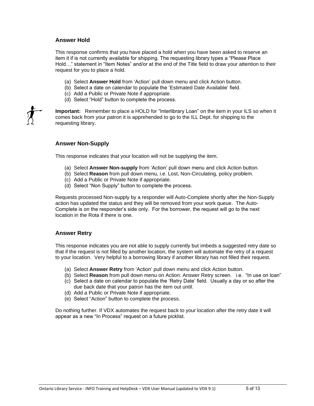### **Answer Hold**

This response confirms that you have placed a hold when you have been asked to reserve an item it if is not currently available for shipping. The requesting library types a "Please Place Hold…" statement in "Item Notes" and/or at the end of the Title field to draw your attention to their request for you to place a hold.

- (a) Select **Answer Hold** from 'Action' pull down menu and click Action button.
- (b) Select a date on calendar to populate the 'Estimated Date Available' field.
- (c) Add a Public or Private Note if appropriate.
- (d) Select "Hold" button to complete the process.

**Important:** Remember to place a HOLD for "Interlibrary Loan" on the item in your ILS so when it comes back from your patron it is apprehended to go to the ILL Dept. for shipping to the requesting library.

### **Answer Non-Supply**

This response indicates that your location will not be supplying the item.

- (a) Select **Answer Non-supply** from 'Action' pull down menu and click Action button.
- (b) Select **Reason** from pull down menu, i.e. Lost, Non-Circulating, policy problem.
- (c) Add a Public or Private Note if appropriate.
- (d) Select "Non Supply" button to complete the process.

Requests processed Non-supply by a responder will Auto-Complete shortly after the Non-Supply action has updated the status and they will be removed from your work queue. The Auto-Complete is on the responder's side only. For the borrower, the request will go to the next location in the Rota if there is one.

### **Answer Retry**

This response indicates you are not able to supply currently but imbeds a suggested retry date so that if the request is not filled by another location, the system will automate the retry of a request to your location. Very helpful to a borrowing library if another library has not filled their request.

- (a) Select **Answer Retry** from 'Action' pull down menu and click Action button.
- (b) Select **Reason** from pull down menu on Action: Answer Retry screen. i.e. "In use on loan"
- (c) Select a date on calendar to populate the 'Retry Date' field. Usually a day or so after the due back date that your patron has the item out until.
- (d) Add a Public or Private Note if appropriate.
- (e) Select "Action" button to complete the process.

Do nothing further. If VDX automates the request back to your location after the retry date it will appear as a new "In Process" request on a future picklist.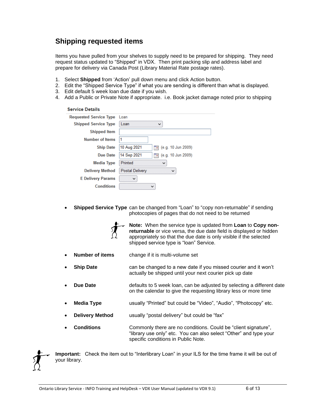# **Shipping requested items**

Items you have pulled from your shelves to supply need to be prepared for shipping. They need request status updated to "Shipped" in VDX. Then print packing slip and address label and prepare for delivery via Canada Post (Library Material Rate postage rates).

- 1. Select **Shipped** from 'Action' pull down menu and click Action button.
- 2. Edit the "Shipped Service Type" if what you are sending is different than what is displayed.
- 3. Edit default 5 week loan due date if you wish.
- 4. Add a Public or Private Note if appropriate. i.e. Book jacket damage noted prior to shipping

| <b>Service Details</b>        |                                                     |
|-------------------------------|-----------------------------------------------------|
| <b>Requested Service Type</b> | Loan                                                |
| <b>Shipped Service Type</b>   | Loan<br>$\checkmark$                                |
| <b>Shipped Item</b>           |                                                     |
| Number of Items               | 1                                                   |
| <b>Ship Date</b>              | 10 Aug 2021<br>(e.g. 10 Jun 2009)<br>$\overline{a}$ |
| Due Date                      | 14 Sep 2021<br>(e.g. 10 Jun 2009)<br>Π×             |
| <b>Media Type</b>             | Printed<br>$\check{~}$                              |
| <b>Delivery Method</b>        | Postal Delivery<br>$\checkmark$                     |
| <b>E</b> Delivery Params      | $\checkmark$                                        |
| <b>Conditions</b>             | $\checkmark$                                        |

• **Shipped Service Type** can be changed from "Loan" to "copy non-returnable" if sending photocopies of pages that do not need to be returned



**Note:** When the service type is updated from **Loan** to **Copy nonreturnable** or vice versa, the due date field is displayed or hidden appropriately so that the due date is only visible if the selected shipped service type is "loan" Service.

- **Number of items** change if it is multi-volume set
- **Ship Date** can be changed to a new date if you missed courier and it won't actually be shipped until your next courier pick up date
- **Due Date defaults to 5 week loan, can be adjusted by selecting a different date** on the calendar to give the requesting library less or more time
- **Media Type** usually "Printed" but could be "Video", "Audio", "Photocopy" etc.
- **Delivery Method** usually "postal delivery" but could be "fax"
- **Conditions** Commonly there are no conditions. Could be "client signature", "library use only" etc. You can also select "Other" and type your specific conditions in Public Note.

**Important:** Check the item out to "Interlibrary Loan" in your ILS for the time frame it will be out of your library.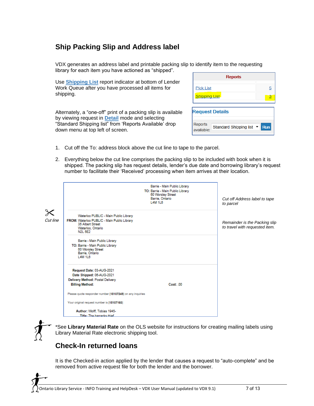# **Ship Packing Slip and Address label**

VDX generates an address label and printable packing slip to identify item to the requesting library for each item you have actioned as "shipped".

Use **Shipping List** report indicator at bottom of Lender Work Queue after you have processed all items for shipping.

Alternately, a "one-off" print of a packing slip is available by viewing request in **Detail** mode and selecting "Standard Shipping list" from 'Reports Available' drop down menu at top left of screen.

| <b>Reports</b>                                    |            |
|---------------------------------------------------|------------|
| <b>Pick List</b>                                  | 5          |
| <b>Shipping List</b>                              | 3          |
| <b>Request Details</b>                            |            |
| Reports<br>Standard Shipping list ▼<br>available: | <b>Run</b> |

- 1. Cut off the To: address block above the cut line to tape to the parcel.
- 2. Everything below the cut line comprises the packing slip to be included with book when it is shipped. The packing slip has request details, lender's due date and borrowing library's request number to facilitate their 'Received' processing when item arrives at their location.

|          |                                                                                                                          | Barrie - Main Public Library<br>TO: Barrie - Main Public Library<br>60 Worsley Street<br>Barrie, Ontario<br>L4M 1L6 | Cut off Address label to tape<br>to parcel                      |
|----------|--------------------------------------------------------------------------------------------------------------------------|---------------------------------------------------------------------------------------------------------------------|-----------------------------------------------------------------|
| Ж        | Waterloo PUBLIC - Main Public Library                                                                                    |                                                                                                                     |                                                                 |
| Cut line | FROM: Waterloo PUBLIC - Main Public Library<br>35 Albert Street<br>Waterloo, Ontario<br>N <sub>2</sub> L 5 <sub>E2</sub> |                                                                                                                     | Remainder is the Packing slip<br>to travel with requested item. |
|          | Barrie - Main Public Library<br>TO: Barrie - Main Public Library<br>60 Worsley Street<br>Barrie, Ontario<br>L4M 1L6      |                                                                                                                     |                                                                 |
|          | Request Date: 03-AUG-2021<br>Date Shipped: 06-AUG-2021                                                                   |                                                                                                                     |                                                                 |
|          | Delivery Method: Postal Delivery                                                                                         |                                                                                                                     |                                                                 |
|          | <b>Billing Method:</b>                                                                                                   | Cost: 00                                                                                                            |                                                                 |
|          | Please quote responder number [18107249] on any inquiries                                                                |                                                                                                                     |                                                                 |
|          | Your original request number is [18107160]                                                                               |                                                                                                                     |                                                                 |
|          | Author: Wolff, Tobias 1945-<br>Title: The barracks thief                                                                 |                                                                                                                     |                                                                 |

\*See **Library Material Rate** on the OLS website for instructions for creating mailing labels using Library Material Rate electronic shipping tool.

# **Check-In returned loans**

It is the Checked-in action applied by the lender that causes a request to "auto-complete" and be removed from active request file for both the lender and the borrower.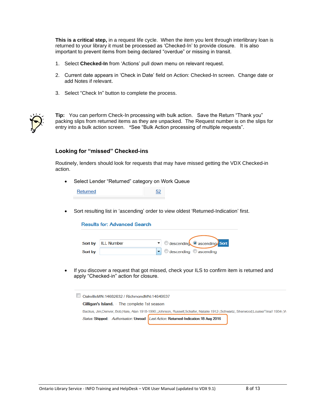**This is a critical step,** in a request life cycle. When the item you lent through interlibrary loan is returned to your library it must be processed as 'Checked-In' to provide closure. It is also important to prevent items from being declared "overdue" or missing in transit.

- 1. Select **Checked-In** from 'Actions' pull down menu on relevant request.
- 2. Current date appears in 'Check in Date' field on Action: Checked-In screen. Change date or add Notes if relevant.
- 3. Select "Check In" button to complete the process.



**Tip:** You can perform Check-In processing with bulk action. Save the Return "Thank you" packing slips from returned items as they are unpacked. The Request number is on the slips for entry into a bulk action screen. \*See "Bulk Action processing of multiple requests".

#### **Looking for "missed" Checked-ins**

Routinely, lenders should look for requests that may have missed getting the VDX Checked-in action.

• Select Lender "Returned" category on Work Queue

| Returned |  |
|----------|--|
|----------|--|

• Sort resulting list in 'ascending' order to view oldest 'Returned-Indication' first.

| <b>Results for: Advanced Search</b> |                      |                                                                      |  |  |  |
|-------------------------------------|----------------------|----------------------------------------------------------------------|--|--|--|
|                                     |                      |                                                                      |  |  |  |
|                                     | Sort by   ILL Number | v descending ascending Sort                                          |  |  |  |
| Sort by                             |                      | $\blacktriangleright$ $\heartsuit$ descending $\heartsuit$ ascending |  |  |  |

• If you discover a request that got missed, check your ILS to confirm item is returned and apply "Checked-in" action for closure.

□ OakvilleMN:14682632 / RichmondMN:14649537 Gilligan's Island. - The complete 1st season Backus, Jim;Denver, Bob;Hale, Alan 1918-1990.;Johnson, Russell;Schafer, Natalie 1912-;Schwartz, Sherwood;Louise/Tina// 1934-;W Status: Shipped: Authorisation: Unread Last Action: Returned-Indication:18 Aug 2016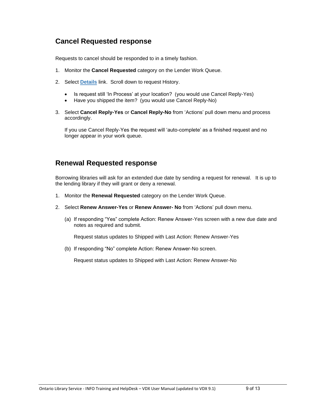## **Cancel Requested response**

Requests to cancel should be responded to in a timely fashion.

- 1. Monitor the **Cancel Requested** category on the Lender Work Queue.
- 2. Select **Details** link. Scroll down to request History.
	- Is request still 'In Process' at your location? (you would use Cancel Reply-Yes)
	- Have you shipped the item? (you would use Cancel Reply-No)
- 3. Select **Cancel Reply-Yes** or **Cancel Reply-No** from 'Actions' pull down menu and process accordingly.

If you use Cancel Reply-Yes the request will 'auto-complete' as a finished request and no longer appear in your work queue.

## **Renewal Requested response**

Borrowing libraries will ask for an extended due date by sending a request for renewal. It is up to the lending library if they will grant or deny a renewal.

- 1. Monitor the **Renewal Requested** category on the Lender Work Queue.
- 2. Select **Renew Answer-Yes** or **Renew Answer- No** from 'Actions' pull down menu.
	- (a) If responding "Yes" complete Action: Renew Answer-Yes screen with a new due date and notes as required and submit.

Request status updates to Shipped with Last Action: Renew Answer-Yes

(b) If responding "No" complete Action: Renew Answer-No screen.

Request status updates to Shipped with Last Action: Renew Answer-No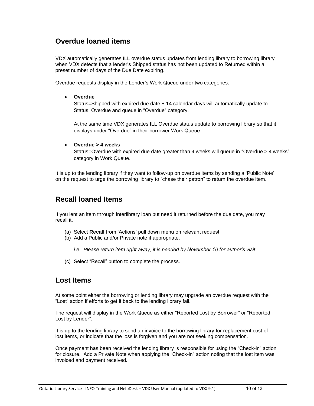## **Overdue loaned items**

VDX automatically generates ILL overdue status updates from lending library to borrowing library when VDX detects that a lender's Shipped status has not been updated to Returned within a preset number of days of the Due Date expiring.

Overdue requests display in the Lender's Work Queue under two categories:

• **Overdue**

Status=Shipped with expired due date + 14 calendar days will automatically update to Status: Overdue and queue in "Overdue" category.

At the same time VDX generates ILL Overdue status update to borrowing library so that it displays under "Overdue" in their borrower Work Queue.

#### • **Overdue > 4 weeks**

Status=Overdue with expired due date greater than 4 weeks will queue in "Overdue > 4 weeks" category in Work Queue.

It is up to the lending library if they want to follow-up on overdue items by sending a 'Public Note' on the request to urge the borrowing library to "chase their patron" to return the overdue item.

# **Recall loaned Items**

If you lent an item through interlibrary loan but need it returned before the due date, you may recall it.

- (a) Select **Recall** from 'Actions' pull down menu on relevant request.
- (b) Add a Public and/or Private note if appropriate.

*i.e. Please return item right away, it is needed by November 10 for author's visit.*

(c) Select "Recall" button to complete the process.

### **Lost Items**

At some point either the borrowing or lending library may upgrade an overdue request with the "Lost" action if efforts to get it back to the lending library fail.

The request will display in the Work Queue as either "Reported Lost by Borrower" or "Reported Lost by Lender".

It is up to the lending library to send an invoice to the borrowing library for replacement cost of lost items, or indicate that the loss is forgiven and you are not seeking compensation.

Once payment has been received the lending library is responsible for using the "Check-in" action for closure. Add a Private Note when applying the "Check-in" action noting that the lost item was invoiced and payment received.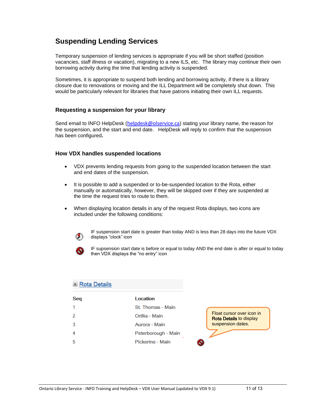# **Suspending Lending Services**

Temporary suspension of lending services is appropriate if you will be short staffed (position vacancies, staff illness or vacation), migrating to a new ILS, etc. The library may continue their own borrowing activity during the time that lending activity is suspended.

Sometimes, it is appropriate to suspend both lending and borrowing activity, if there is a library closure due to renovations or moving and the ILL Department will be completely shut down. This would be particularly relevant for libraries that have patrons initiating their own ILL requests.

### **Requesting a suspension for your library**

Send email to INFO HelpDesk ([helpdesk@olservice.ca](mailto:helpdesk@olservice.ca)) stating your library name, the reason for the suspension, and the start and end date. HelpDesk will reply to confirm that the suspension has been configured**.**

### **How VDX handles suspended locations**

- VDX prevents lending requests from going to the suspended location between the start and end dates of the suspension.
- It is possible to add a suspended or to-be-suspended location to the Rota, either manually or automatically, however, they will be skipped over if they are suspended at the time the request tries to route to them.
- When displaying location details in any of the request Rota displays, two icons are included under the following conditions:



IF suspension start date is greater than today AND is less than 28 days into the future VDX displays "clock" icon



IF supsension start date is before or equal to today AND the end date is after or equal to today then VDX displays the "no entry" icon

| Rota Details |                     |                                                             |
|--------------|---------------------|-------------------------------------------------------------|
| Seq          | Location            |                                                             |
| 1            | St. Thomas - Main   |                                                             |
| 2            | Orillia - Main      | Float cursor over icon in<br><b>Rota Details to display</b> |
| 3            | Aurora - Main       | suspension dates.                                           |
| 4            | Peterborough - Main |                                                             |
| 5            | Pickering - Main    |                                                             |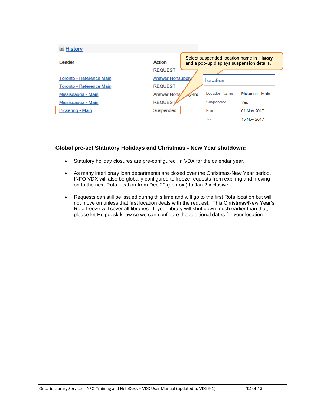| $\blacksquare$ History          |                  |                                                                                               |                      |                  |
|---------------------------------|------------------|-----------------------------------------------------------------------------------------------|----------------------|------------------|
| I ender<br><b>Action</b>        |                  | Select suspended location name in <b>History</b><br>and a pop-up displays suspension details. |                      |                  |
|                                 | <b>REQUEST</b>   |                                                                                               |                      |                  |
| <b>Toronto - Reference Main</b> | Answer Nonsupply |                                                                                               | Location             |                  |
| Toronto - Reference Main        | <b>REQUEST</b>   |                                                                                               |                      |                  |
| Mississauga - Main              | Answer Nons      | $\sqrt{v}$ -Inc                                                                               | <b>Location Name</b> | Pickering - Main |
| Mississauga - Main              | <b>REQUEST</b>   |                                                                                               | Suspended            | Yes              |
| Pickering - Main                | Suspended        |                                                                                               | From                 | 01 Nov 2017      |
|                                 |                  |                                                                                               | To                   | 15 Nov 2017      |

### **Global pre-set Statutory Holidays and Christmas - New Year shutdown:**

- Statutory holiday closures are pre-configured in VDX for the calendar year.
- As many interlibrary loan departments are closed over the Christmas-New Year period, INFO VDX will also be globally configured to freeze requests from expiring and moving on to the next Rota location from Dec 20 (approx.) to Jan 2 inclusive.
- Requests can still be issued during this time and will go to the first Rota location but will not move on unless that first location deals with the request. This Christmas/New Year's Rota freeze will cover all libraries. If your library will shut down much earlier than that, please let Helpdesk know so we can configure the additional dates for your location.